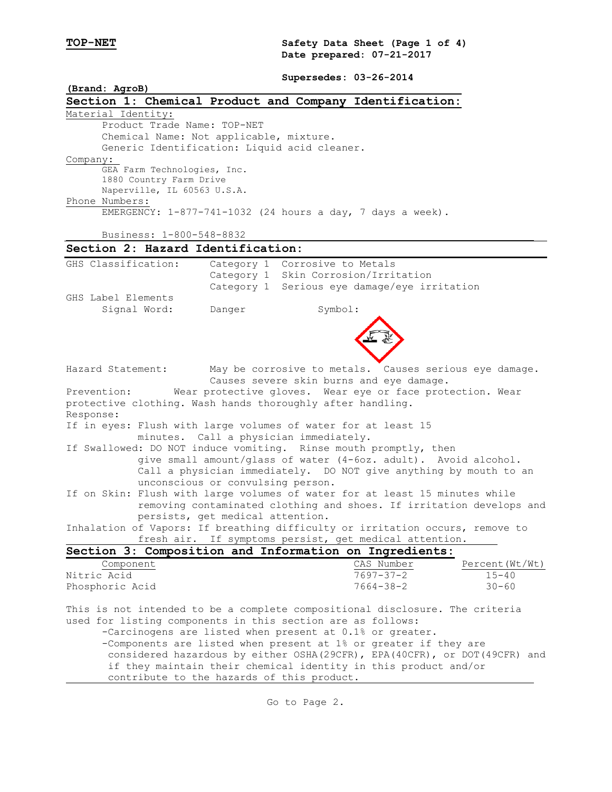**TOP-NET Safety Data Sheet (Page 1 of 4) Date prepared: 07-21-2017**

**Supersedes: 03-26-2014**

| (Brand: AgroB)                                                                                                                                      |                                                                              |                                                                               |                |  |  |  |  |  |  |
|-----------------------------------------------------------------------------------------------------------------------------------------------------|------------------------------------------------------------------------------|-------------------------------------------------------------------------------|----------------|--|--|--|--|--|--|
|                                                                                                                                                     |                                                                              | Section 1: Chemical Product and Company Identification:                       |                |  |  |  |  |  |  |
| Material Identity:                                                                                                                                  |                                                                              |                                                                               |                |  |  |  |  |  |  |
| Product Trade Name: TOP-NET                                                                                                                         |                                                                              |                                                                               |                |  |  |  |  |  |  |
| Chemical Name: Not applicable, mixture.                                                                                                             |                                                                              |                                                                               |                |  |  |  |  |  |  |
| Generic Identification: Liquid acid cleaner.                                                                                                        |                                                                              |                                                                               |                |  |  |  |  |  |  |
| Company:                                                                                                                                            |                                                                              |                                                                               |                |  |  |  |  |  |  |
| GEA Farm Technologies, Inc.                                                                                                                         |                                                                              |                                                                               |                |  |  |  |  |  |  |
| 1880 Country Farm Drive                                                                                                                             |                                                                              |                                                                               |                |  |  |  |  |  |  |
| Naperville, IL 60563 U.S.A.<br>Phone Numbers:                                                                                                       |                                                                              |                                                                               |                |  |  |  |  |  |  |
|                                                                                                                                                     |                                                                              | EMERGENCY: 1-877-741-1032 (24 hours a day, 7 days a week).                    |                |  |  |  |  |  |  |
|                                                                                                                                                     |                                                                              |                                                                               |                |  |  |  |  |  |  |
| Business: 1-800-548-8832                                                                                                                            |                                                                              |                                                                               |                |  |  |  |  |  |  |
| Section 2: Hazard Identification:                                                                                                                   |                                                                              |                                                                               |                |  |  |  |  |  |  |
| GHS Classification:                                                                                                                                 |                                                                              | Category 1 Corrosive to Metals                                                |                |  |  |  |  |  |  |
|                                                                                                                                                     |                                                                              | Category 1 Skin Corrosion/Irritation                                          |                |  |  |  |  |  |  |
|                                                                                                                                                     |                                                                              | Category 1 Serious eye damage/eye irritation                                  |                |  |  |  |  |  |  |
| GHS Label Elements                                                                                                                                  |                                                                              |                                                                               |                |  |  |  |  |  |  |
| Signal Word:                                                                                                                                        | Danger                                                                       | Symbol:                                                                       |                |  |  |  |  |  |  |
|                                                                                                                                                     |                                                                              |                                                                               |                |  |  |  |  |  |  |
|                                                                                                                                                     |                                                                              |                                                                               |                |  |  |  |  |  |  |
|                                                                                                                                                     |                                                                              |                                                                               |                |  |  |  |  |  |  |
|                                                                                                                                                     |                                                                              |                                                                               |                |  |  |  |  |  |  |
| Hazard Statement:                                                                                                                                   |                                                                              | May be corrosive to metals. Causes serious eye damage.                        |                |  |  |  |  |  |  |
|                                                                                                                                                     |                                                                              | Causes severe skin burns and eye damage.                                      |                |  |  |  |  |  |  |
| Prevention:                                                                                                                                         |                                                                              | Wear protective gloves. Wear eye or face protection. Wear                     |                |  |  |  |  |  |  |
| protective clothing. Wash hands thoroughly after handling.                                                                                          |                                                                              |                                                                               |                |  |  |  |  |  |  |
| Response:                                                                                                                                           |                                                                              |                                                                               |                |  |  |  |  |  |  |
|                                                                                                                                                     |                                                                              | If in eyes: Flush with large volumes of water for at least 15                 |                |  |  |  |  |  |  |
|                                                                                                                                                     |                                                                              | minutes. Call a physician immediately.                                        |                |  |  |  |  |  |  |
|                                                                                                                                                     |                                                                              | If Swallowed: DO NOT induce vomiting. Rinse mouth promptly, then              |                |  |  |  |  |  |  |
|                                                                                                                                                     |                                                                              | give small amount/glass of water (4-6oz. adult). Avoid alcohol.               |                |  |  |  |  |  |  |
|                                                                                                                                                     | unconscious or convulsing person.                                            | Call a physician immediately. DO NOT give anything by mouth to an             |                |  |  |  |  |  |  |
|                                                                                                                                                     |                                                                              |                                                                               |                |  |  |  |  |  |  |
| If on Skin: Flush with large volumes of water for at least 15 minutes while<br>removing contaminated clothing and shoes. If irritation develops and |                                                                              |                                                                               |                |  |  |  |  |  |  |
|                                                                                                                                                     | persists, get medical attention.                                             |                                                                               |                |  |  |  |  |  |  |
|                                                                                                                                                     |                                                                              | Inhalation of Vapors: If breathing difficulty or irritation occurs, remove to |                |  |  |  |  |  |  |
|                                                                                                                                                     |                                                                              | fresh air. If symptoms persist, get medical attention.                        |                |  |  |  |  |  |  |
|                                                                                                                                                     |                                                                              | Section 3: Composition and Information on Ingredients:                        |                |  |  |  |  |  |  |
| Component                                                                                                                                           |                                                                              | CAS Number                                                                    | Percent(Wt/Wt) |  |  |  |  |  |  |
| Nitric Acid                                                                                                                                         |                                                                              | $7697 - 37 - 2$                                                               | $15 - 40$      |  |  |  |  |  |  |
| Phosphoric Acid                                                                                                                                     |                                                                              | $7664 - 38 - 2$                                                               | $30 - 60$      |  |  |  |  |  |  |
|                                                                                                                                                     |                                                                              |                                                                               |                |  |  |  |  |  |  |
|                                                                                                                                                     |                                                                              | This is not intended to be a complete compositional disclosure. The criteria  |                |  |  |  |  |  |  |
| used for listing components in this section are as follows:                                                                                         |                                                                              |                                                                               |                |  |  |  |  |  |  |
| -Carcinogens are listed when present at 0.1% or greater.                                                                                            |                                                                              |                                                                               |                |  |  |  |  |  |  |
| -Components are listed when present at 1% or greater if they are                                                                                    |                                                                              |                                                                               |                |  |  |  |  |  |  |
|                                                                                                                                                     | considered hazardous by either OSHA (29CFR), EPA (40CFR), or DOT (49CFR) and |                                                                               |                |  |  |  |  |  |  |
|                                                                                                                                                     |                                                                              | if they maintain their chemical identity in this product and/or               |                |  |  |  |  |  |  |
| contribute to the hazards of this product.                                                                                                          |                                                                              |                                                                               |                |  |  |  |  |  |  |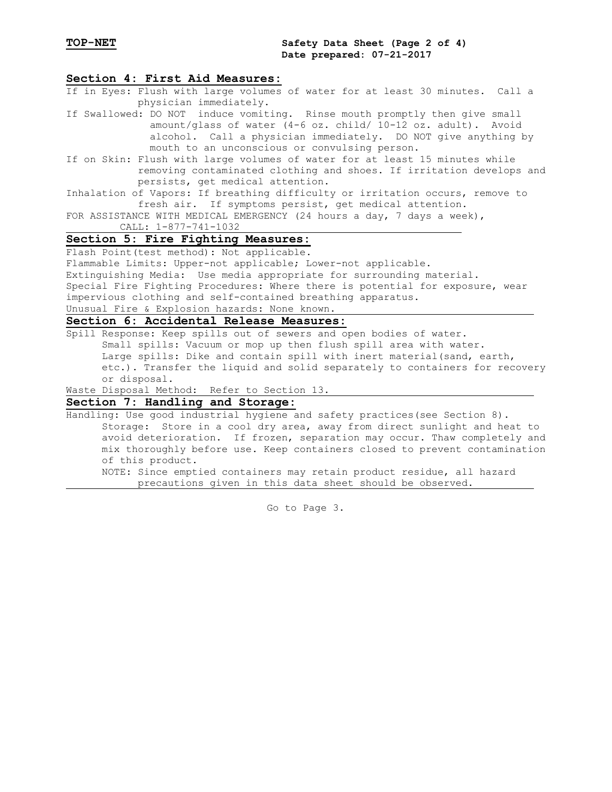## **Section 4: First Aid Measures:**

- If in Eyes: Flush with large volumes of water for at least 30 minutes. Call a physician immediately.
- If Swallowed: DO NOT induce vomiting. Rinse mouth promptly then give small amount/glass of water (4-6 oz. child/ 10-12 oz. adult). Avoid alcohol. Call a physician immediately. DO NOT give anything by mouth to an unconscious or convulsing person.
- If on Skin: Flush with large volumes of water for at least 15 minutes while removing contaminated clothing and shoes. If irritation develops and persists, get medical attention.
- Inhalation of Vapors: If breathing difficulty or irritation occurs, remove to fresh air. If symptoms persist, get medical attention.
- FOR ASSISTANCE WITH MEDICAL EMERGENCY (24 hours a day, 7 days a week), CALL: 1-877-741-1032

#### **Section 5: Fire Fighting Measures:**

Flash Point(test method): Not applicable.

Flammable Limits: Upper-not applicable; Lower-not applicable.

Extinguishing Media: Use media appropriate for surrounding material. Special Fire Fighting Procedures: Where there is potential for exposure, wear

impervious clothing and self-contained breathing apparatus.

Unusual Fire & Explosion hazards: None known.

# **Section 6: Accidental Release Measures:**

Spill Response: Keep spills out of sewers and open bodies of water. Small spills: Vacuum or mop up then flush spill area with water. Large spills: Dike and contain spill with inert material(sand, earth, etc.). Transfer the liquid and solid separately to containers for recovery or disposal.

Waste Disposal Method: Refer to Section 13.

## **Section 7: Handling and Storage:**

Handling: Use good industrial hygiene and safety practices(see Section 8). Storage: Store in a cool dry area, away from direct sunlight and heat to avoid deterioration. If frozen, separation may occur. Thaw completely and mix thoroughly before use. Keep containers closed to prevent contamination of this product. NOTE: Since emptied containers may retain product residue, all hazard precautions given in this data sheet should be observed.

Go to Page 3.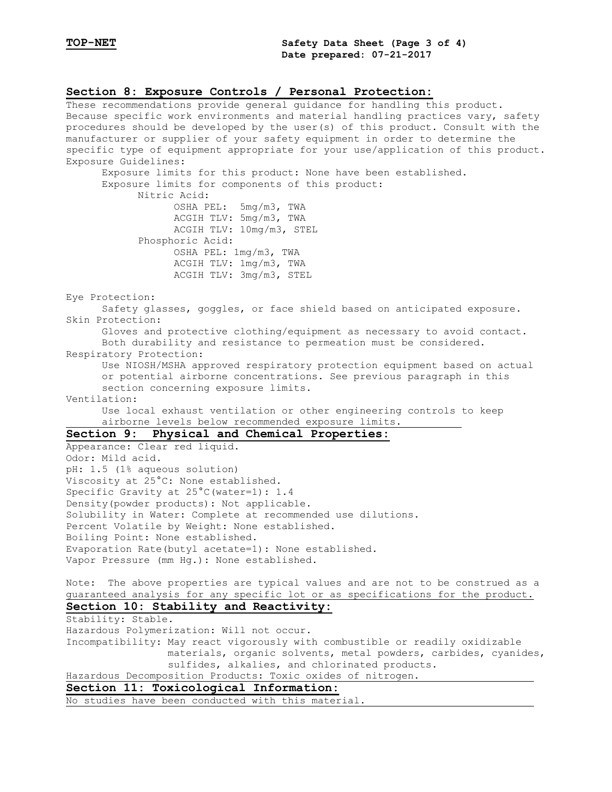#### **Section 8: Exposure Controls / Personal Protection:**

These recommendations provide general guidance for handling this product. Because specific work environments and material handling practices vary, safety procedures should be developed by the user(s) of this product. Consult with the manufacturer or supplier of your safety equipment in order to determine the specific type of equipment appropriate for your use/application of this product. Exposure Guidelines: Exposure limits for this product: None have been established. Exposure limits for components of this product: Nitric Acid: OSHA PEL: 5mg/m3, TWA ACGIH TLV: 5mg/m3, TWA ACGIH TLV: 10mg/m3, STEL Phosphoric Acid: OSHA PEL: 1mg/m3, TWA ACGIH TLV: 1mg/m3, TWA ACGIH TLV: 3mg/m3, STEL Eye Protection: Safety glasses, goggles, or face shield based on anticipated exposure. Skin Protection: Gloves and protective clothing/equipment as necessary to avoid contact. Both durability and resistance to permeation must be considered. Respiratory Protection: Use NIOSH/MSHA approved respiratory protection equipment based on actual or potential airborne concentrations. See previous paragraph in this section concerning exposure limits. Ventilation: Use local exhaust ventilation or other engineering controls to keep airborne levels below recommended exposure limits. **Section 9: Physical and Chemical Properties:** Appearance: Clear red liquid. Odor: Mild acid. pH: 1.5 (1% aqueous solution) Viscosity at 25°C: None established. Specific Gravity at  $25^{\circ}$ C(water=1): 1.4 Density(powder products): Not applicable. Solubility in Water: Complete at recommended use dilutions. Percent Volatile by Weight: None established. Boiling Point: None established. Evaporation Rate(butyl acetate=1): None established. Vapor Pressure (mm Hg.): None established. Note: The above properties are typical values and are not to be construed as a guaranteed analysis for any specific lot or as specifications for the product. **Section 10: Stability and Reactivity:** Stability: Stable. Hazardous Polymerization: Will not occur. Incompatibility: May react vigorously with combustible or readily oxidizable materials, organic solvents, metal powders, carbides, cyanides, sulfides, alkalies, and chlorinated products. Hazardous Decomposition Products: Toxic oxides of nitrogen. **Section 11: Toxicological Information:** No studies have been conducted with this material.